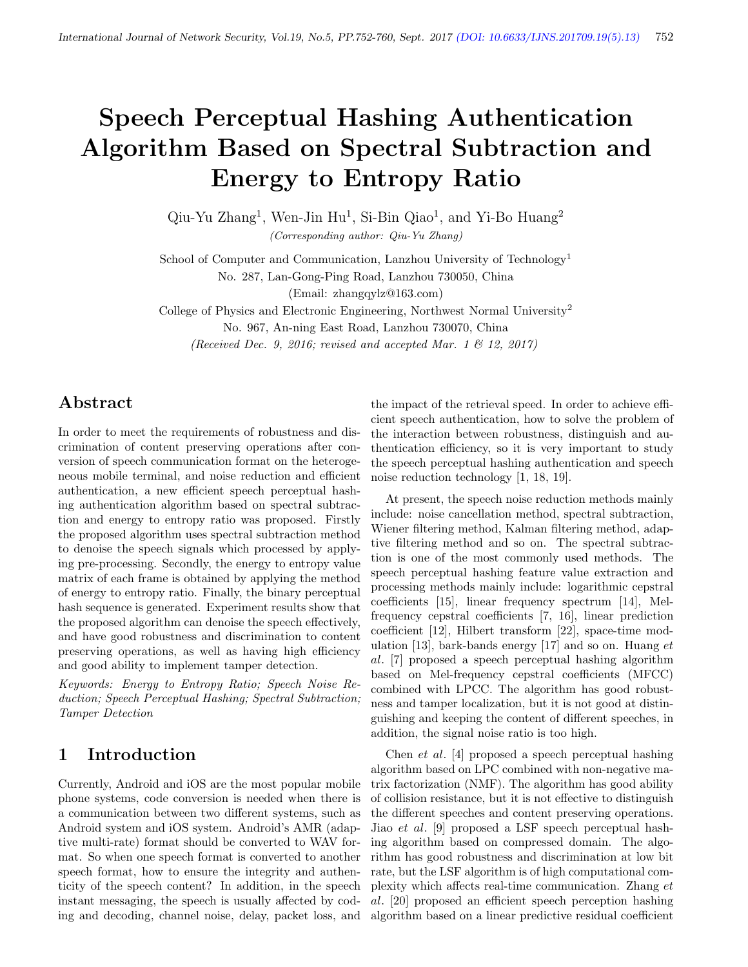# Speech Perceptual Hashing Authentication Algorithm Based on Spectral Subtraction and Energy to Entropy Ratio

Qiu-Yu Zhang<sup>1</sup>, Wen-Jin Hu<sup>1</sup>, Si-Bin Qiao<sup>1</sup>, and Yi-Bo Huang<sup>2</sup> (Corresponding author: Qiu-Yu Zhang)

School of Computer and Communication, Lanzhou University of Technology<sup>1</sup> No. 287, Lan-Gong-Ping Road, Lanzhou 730050, China

(Email: zhangqylz@163.com)

College of Physics and Electronic Engineering, Northwest Normal University<sup>2</sup> No. 967, An-ning East Road, Lanzhou 730070, China (Received Dec. 9, 2016; revised and accepted Mar. 1  $\mathcal{B}$  12, 2017)

# Abstract

In order to meet the requirements of robustness and discrimination of content preserving operations after conversion of speech communication format on the heterogeneous mobile terminal, and noise reduction and efficient authentication, a new efficient speech perceptual hashing authentication algorithm based on spectral subtraction and energy to entropy ratio was proposed. Firstly the proposed algorithm uses spectral subtraction method to denoise the speech signals which processed by applying pre-processing. Secondly, the energy to entropy value matrix of each frame is obtained by applying the method of energy to entropy ratio. Finally, the binary perceptual hash sequence is generated. Experiment results show that the proposed algorithm can denoise the speech effectively, and have good robustness and discrimination to content preserving operations, as well as having high efficiency and good ability to implement tamper detection.

Keywords: Energy to Entropy Ratio; Speech Noise Reduction; Speech Perceptual Hashing; Spectral Subtraction; Tamper Detection

# 1 Introduction

Currently, Android and iOS are the most popular mobile phone systems, code conversion is needed when there is a communication between two different systems, such as Android system and iOS system. Android's AMR (adaptive multi-rate) format should be converted to WAV format. So when one speech format is converted to another speech format, how to ensure the integrity and authenticity of the speech content? In addition, in the speech instant messaging, the speech is usually affected by coding and decoding, channel noise, delay, packet loss, and the impact of the retrieval speed. In order to achieve efficient speech authentication, how to solve the problem of the interaction between robustness, distinguish and authentication efficiency, so it is very important to study the speech perceptual hashing authentication and speech noise reduction technology [1, 18, 19].

At present, the speech noise reduction methods mainly include: noise cancellation method, spectral subtraction, Wiener filtering method, Kalman filtering method, adaptive filtering method and so on. The spectral subtraction is one of the most commonly used methods. The speech perceptual hashing feature value extraction and processing methods mainly include: logarithmic cepstral coefficients [15], linear frequency spectrum [14], Melfrequency cepstral coefficients [7, 16], linear prediction coefficient [12], Hilbert transform [22], space-time modulation [13], bark-bands energy [17] and so on. Huang  $et$ al. [7] proposed a speech perceptual hashing algorithm based on Mel-frequency cepstral coefficients (MFCC) combined with LPCC. The algorithm has good robustness and tamper localization, but it is not good at distinguishing and keeping the content of different speeches, in addition, the signal noise ratio is too high.

Chen et al. [4] proposed a speech perceptual hashing algorithm based on LPC combined with non-negative matrix factorization (NMF). The algorithm has good ability of collision resistance, but it is not effective to distinguish the different speeches and content preserving operations. Jiao et al. [9] proposed a LSF speech perceptual hashing algorithm based on compressed domain. The algorithm has good robustness and discrimination at low bit rate, but the LSF algorithm is of high computational complexity which affects real-time communication. Zhang et al. [20] proposed an efficient speech perception hashing algorithm based on a linear predictive residual coefficient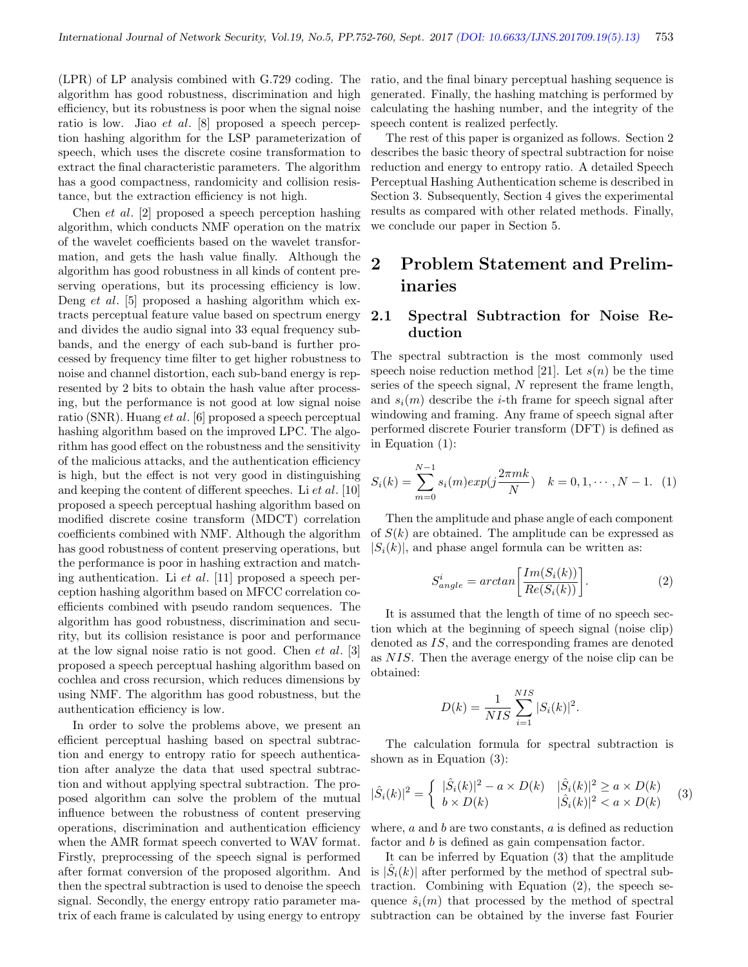(LPR) of LP analysis combined with G.729 coding. The algorithm has good robustness, discrimination and high efficiency, but its robustness is poor when the signal noise ratio is low. Jiao et al. [8] proposed a speech perception hashing algorithm for the LSP parameterization of speech, which uses the discrete cosine transformation to extract the final characteristic parameters. The algorithm has a good compactness, randomicity and collision resistance, but the extraction efficiency is not high.

Chen et al. [2] proposed a speech perception hashing algorithm, which conducts NMF operation on the matrix of the wavelet coefficients based on the wavelet transformation, and gets the hash value finally. Although the algorithm has good robustness in all kinds of content preserving operations, but its processing efficiency is low. Deng et al. [5] proposed a hashing algorithm which extracts perceptual feature value based on spectrum energy and divides the audio signal into 33 equal frequency subbands, and the energy of each sub-band is further processed by frequency time filter to get higher robustness to noise and channel distortion, each sub-band energy is represented by 2 bits to obtain the hash value after processing, but the performance is not good at low signal noise ratio (SNR). Huang et al. [6] proposed a speech perceptual hashing algorithm based on the improved LPC. The algorithm has good effect on the robustness and the sensitivity of the malicious attacks, and the authentication efficiency is high, but the effect is not very good in distinguishing and keeping the content of different speeches. Li et al. [10] proposed a speech perceptual hashing algorithm based on modified discrete cosine transform (MDCT) correlation coefficients combined with NMF. Although the algorithm has good robustness of content preserving operations, but the performance is poor in hashing extraction and matching authentication. Li et al. [11] proposed a speech perception hashing algorithm based on MFCC correlation coefficients combined with pseudo random sequences. The algorithm has good robustness, discrimination and security, but its collision resistance is poor and performance at the low signal noise ratio is not good. Chen et al. [3] proposed a speech perceptual hashing algorithm based on cochlea and cross recursion, which reduces dimensions by using NMF. The algorithm has good robustness, but the authentication efficiency is low.

In order to solve the problems above, we present an efficient perceptual hashing based on spectral subtraction and energy to entropy ratio for speech authentication after analyze the data that used spectral subtraction and without applying spectral subtraction. The proposed algorithm can solve the problem of the mutual influence between the robustness of content preserving operations, discrimination and authentication efficiency when the AMR format speech converted to WAV format. Firstly, preprocessing of the speech signal is performed after format conversion of the proposed algorithm. And then the spectral subtraction is used to denoise the speech signal. Secondly, the energy entropy ratio parameter matrix of each frame is calculated by using energy to entropy

ratio, and the final binary perceptual hashing sequence is generated. Finally, the hashing matching is performed by calculating the hashing number, and the integrity of the speech content is realized perfectly.

The rest of this paper is organized as follows. Section 2 describes the basic theory of spectral subtraction for noise reduction and energy to entropy ratio. A detailed Speech Perceptual Hashing Authentication scheme is described in Section 3. Subsequently, Section 4 gives the experimental results as compared with other related methods. Finally, we conclude our paper in Section 5.

# 2 Problem Statement and Preliminaries

#### 2.1 Spectral Subtraction for Noise Reduction

The spectral subtraction is the most commonly used speech noise reduction method [21]. Let  $s(n)$  be the time series of the speech signal, N represent the frame length, and  $s_i(m)$  describe the *i*-th frame for speech signal after windowing and framing. Any frame of speech signal after performed discrete Fourier transform (DFT) is defined as in Equation (1):

$$
S_i(k) = \sum_{m=0}^{N-1} s_i(m) exp(j\frac{2\pi mk}{N}) \quad k = 0, 1, \cdots, N-1.
$$
 (1)

Then the amplitude and phase angle of each component of  $S(k)$  are obtained. The amplitude can be expressed as  $|S_i(k)|$ , and phase angel formula can be written as:

$$
S_{angle}^{i} = arctan\left[\frac{Im(S_i(k))}{Re(S_i(k))}\right].
$$
 (2)

It is assumed that the length of time of no speech section which at the beginning of speech signal (noise clip) denoted as IS, and the corresponding frames are denoted as NIS. Then the average energy of the noise clip can be obtained:

$$
D(k) = \frac{1}{NIS} \sum_{i=1}^{NIS} |S_i(k)|^2.
$$

The calculation formula for spectral subtraction is shown as in Equation (3):

$$
|\hat{S}_i(k)|^2 = \begin{cases} |\hat{S}_i(k)|^2 - a \times D(k) & |\hat{S}_i(k)|^2 \ge a \times D(k) \\ b \times D(k) & |\hat{S}_i(k)|^2 < a \times D(k) \end{cases}
$$
 (3)

where,  $a$  and  $b$  are two constants,  $a$  is defined as reduction factor and b is defined as gain compensation factor.

It can be inferred by Equation (3) that the amplitude is  $|\hat{S}_i(k)|$  after performed by the method of spectral subtraction. Combining with Equation (2), the speech sequence  $\hat{s}_i(m)$  that processed by the method of spectral subtraction can be obtained by the inverse fast Fourier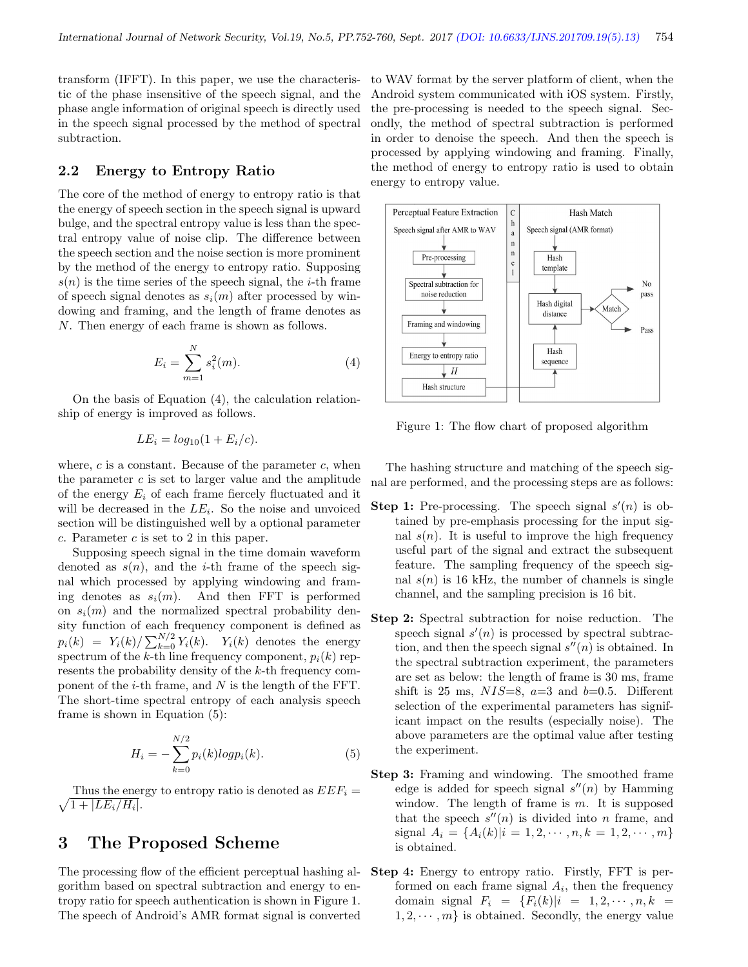transform (IFFT). In this paper, we use the characteristic of the phase insensitive of the speech signal, and the phase angle information of original speech is directly used in the speech signal processed by the method of spectral subtraction.

#### 2.2 Energy to Entropy Ratio

The core of the method of energy to entropy ratio is that the energy of speech section in the speech signal is upward bulge, and the spectral entropy value is less than the spectral entropy value of noise clip. The difference between the speech section and the noise section is more prominent by the method of the energy to entropy ratio. Supposing  $s(n)$  is the time series of the speech signal, the *i*-th frame of speech signal denotes as  $s_i(m)$  after processed by windowing and framing, and the length of frame denotes as N. Then energy of each frame is shown as follows.

$$
E_i = \sum_{m=1}^{N} s_i^2(m).
$$
 (4)

On the basis of Equation (4), the calculation relationship of energy is improved as follows.

$$
LE_i = log_{10}(1 + E_i/c).
$$

where,  $c$  is a constant. Because of the parameter  $c$ , when the parameter  $c$  is set to larger value and the amplitude of the energy  $E_i$  of each frame fiercely fluctuated and it will be decreased in the  $LE_i$ . So the noise and unvoiced section will be distinguished well by a optional parameter  $c$ . Parameter  $c$  is set to 2 in this paper.

Supposing speech signal in the time domain waveform denoted as  $s(n)$ , and the *i*-th frame of the speech signal which processed by applying windowing and framing denotes as  $s_i(m)$ . And then FFT is performed on  $s_i(m)$  and the normalized spectral probability density function of each frequency component is defined as  $p_i(k) = Y_i(k) / \sum_{k=0}^{N/2} Y_i(k)$ .  $Y_i(k)$  denotes the energy spectrum of the k-th line frequency component,  $p_i(k)$  represents the probability density of the k-th frequency component of the  $i$ -th frame, and N is the length of the FFT. The short-time spectral entropy of each analysis speech frame is shown in Equation (5):

$$
H_i = -\sum_{k=0}^{N/2} p_i(k) \log p_i(k).
$$
 (5)

 $\sqrt{1 + |LE_i/H_i|}.$ Thus the energy to entropy ratio is denoted as  $E E F_i =$ 

# 3 The Proposed Scheme

The processing flow of the efficient perceptual hashing algorithm based on spectral subtraction and energy to entropy ratio for speech authentication is shown in Figure 1. The speech of Android's AMR format signal is converted

to WAV format by the server platform of client, when the Android system communicated with iOS system. Firstly, the pre-processing is needed to the speech signal. Secondly, the method of spectral subtraction is performed in order to denoise the speech. And then the speech is processed by applying windowing and framing. Finally, the method of energy to entropy ratio is used to obtain energy to entropy value.



Figure 1: The flow chart of proposed algorithm

The hashing structure and matching of the speech signal are performed, and the processing steps are as follows:

- **Step 1:** Pre-processing. The speech signal  $s'(n)$  is obtained by pre-emphasis processing for the input signal  $s(n)$ . It is useful to improve the high frequency useful part of the signal and extract the subsequent feature. The sampling frequency of the speech signal  $s(n)$  is 16 kHz, the number of channels is single channel, and the sampling precision is 16 bit.
- Step 2: Spectral subtraction for noise reduction. The speech signal  $s'(n)$  is processed by spectral subtraction, and then the speech signal  $s''(n)$  is obtained. In the spectral subtraction experiment, the parameters are set as below: the length of frame is 30 ms, frame shift is 25 ms,  $NIS=8$ ,  $a=3$  and  $b=0.5$ . Different selection of the experimental parameters has significant impact on the results (especially noise). The above parameters are the optimal value after testing the experiment.
- Step 3: Framing and windowing. The smoothed frame edge is added for speech signal  $s''(n)$  by Hamming window. The length of frame is  $m$ . It is supposed that the speech  $s''(n)$  is divided into n frame, and signal  $A_i = \{A_i(k)|i = 1, 2, \cdots, n, k = 1, 2, \cdots, m\}$ is obtained.
- Step 4: Energy to entropy ratio. Firstly, FFT is performed on each frame signal  $A_i$ , then the frequency domain signal  $F_i = \{F_i(k)|i = 1, 2, \dots, n, k =$  $1, 2, \dots, m$  is obtained. Secondly, the energy value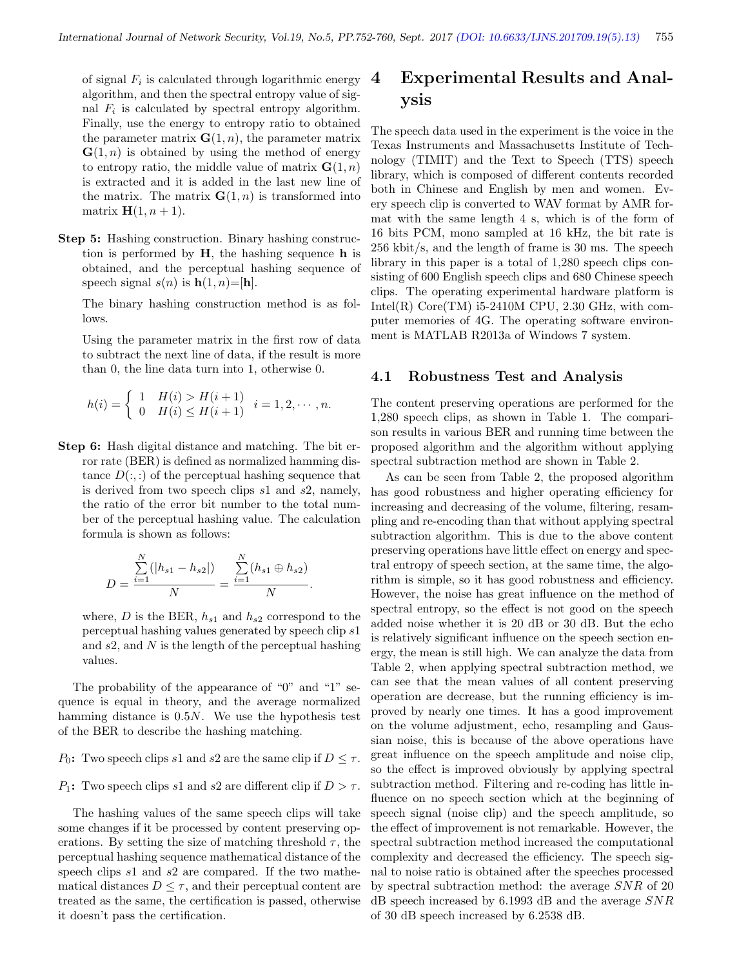of signal  $F_i$  is calculated through logarithmic energy algorithm, and then the spectral entropy value of signal  $F_i$  is calculated by spectral entropy algorithm. Finally, use the energy to entropy ratio to obtained the parameter matrix  $\mathbf{G}(1,n)$ , the parameter matrix  $\mathbf{G}(1,n)$  is obtained by using the method of energy to entropy ratio, the middle value of matrix  $\mathbf{G}(1,n)$ is extracted and it is added in the last new line of the matrix. The matrix  $\mathbf{G}(1,n)$  is transformed into matrix  $H(1, n + 1)$ .

Step 5: Hashing construction. Binary hashing construction is performed by  $H$ , the hashing sequence h is obtained, and the perceptual hashing sequence of speech signal  $s(n)$  is  $h(1, n) = [h]$ .

The binary hashing construction method is as follows.

Using the parameter matrix in the first row of data to subtract the next line of data, if the result is more than 0, the line data turn into 1, otherwise 0.

$$
h(i) = \begin{cases} 1 & H(i) > H(i+1) \\ 0 & H(i) \le H(i+1) \end{cases} i = 1, 2, \dots, n.
$$

Step 6: Hash digital distance and matching. The bit error rate (BER) is defined as normalized hamming distance  $D(:,:)$  of the perceptual hashing sequence that is derived from two speech clips s1 and s2, namely, the ratio of the error bit number to the total number of the perceptual hashing value. The calculation formula is shown as follows:

$$
D = \frac{\sum_{i=1}^{N} (|h_{s1} - h_{s2}|)}{N} = \frac{\sum_{i=1}^{N} (h_{s1} \oplus h_{s2})}{N}.
$$

where, D is the BER,  $h_{s1}$  and  $h_{s2}$  correspond to the perceptual hashing values generated by speech clip s1 and  $s2$ , and  $N$  is the length of the perceptual hashing values.

The probability of the appearance of "0" and "1" sequence is equal in theory, and the average normalized hamming distance is 0.5N. We use the hypothesis test of the BER to describe the hashing matching.

P<sub>0</sub>: Two speech clips s1 and s2 are the same clip if  $D \leq \tau$ .

#### P<sub>1</sub>: Two speech clips s1 and s2 are different clip if  $D > \tau$ .

The hashing values of the same speech clips will take some changes if it be processed by content preserving operations. By setting the size of matching threshold  $\tau$ , the perceptual hashing sequence mathematical distance of the speech clips s1 and s2 are compared. If the two mathematical distances  $D \leq \tau$ , and their perceptual content are treated as the same, the certification is passed, otherwise it doesn't pass the certification.

# 4 Experimental Results and Analysis

The speech data used in the experiment is the voice in the Texas Instruments and Massachusetts Institute of Technology (TIMIT) and the Text to Speech (TTS) speech library, which is composed of different contents recorded both in Chinese and English by men and women. Every speech clip is converted to WAV format by AMR format with the same length 4 s, which is of the form of 16 bits PCM, mono sampled at 16 kHz, the bit rate is 256 kbit/s, and the length of frame is 30 ms. The speech library in this paper is a total of 1,280 speech clips consisting of 600 English speech clips and 680 Chinese speech clips. The operating experimental hardware platform is Intel(R)  $Core(TM)$  i5-2410M CPU, 2.30 GHz, with computer memories of 4G. The operating software environment is MATLAB R2013a of Windows 7 system.

#### 4.1 Robustness Test and Analysis

The content preserving operations are performed for the 1,280 speech clips, as shown in Table 1. The comparison results in various BER and running time between the proposed algorithm and the algorithm without applying spectral subtraction method are shown in Table 2.

As can be seen from Table 2, the proposed algorithm has good robustness and higher operating efficiency for increasing and decreasing of the volume, filtering, resampling and re-encoding than that without applying spectral subtraction algorithm. This is due to the above content preserving operations have little effect on energy and spectral entropy of speech section, at the same time, the algorithm is simple, so it has good robustness and efficiency. However, the noise has great influence on the method of spectral entropy, so the effect is not good on the speech added noise whether it is 20 dB or 30 dB. But the echo is relatively significant influence on the speech section energy, the mean is still high. We can analyze the data from Table 2, when applying spectral subtraction method, we can see that the mean values of all content preserving operation are decrease, but the running efficiency is improved by nearly one times. It has a good improvement on the volume adjustment, echo, resampling and Gaussian noise, this is because of the above operations have great influence on the speech amplitude and noise clip, so the effect is improved obviously by applying spectral subtraction method. Filtering and re-coding has little influence on no speech section which at the beginning of speech signal (noise clip) and the speech amplitude, so the effect of improvement is not remarkable. However, the spectral subtraction method increased the computational complexity and decreased the efficiency. The speech signal to noise ratio is obtained after the speeches processed by spectral subtraction method: the average SNR of 20 dB speech increased by 6.1993 dB and the average SNR of 30 dB speech increased by 6.2538 dB.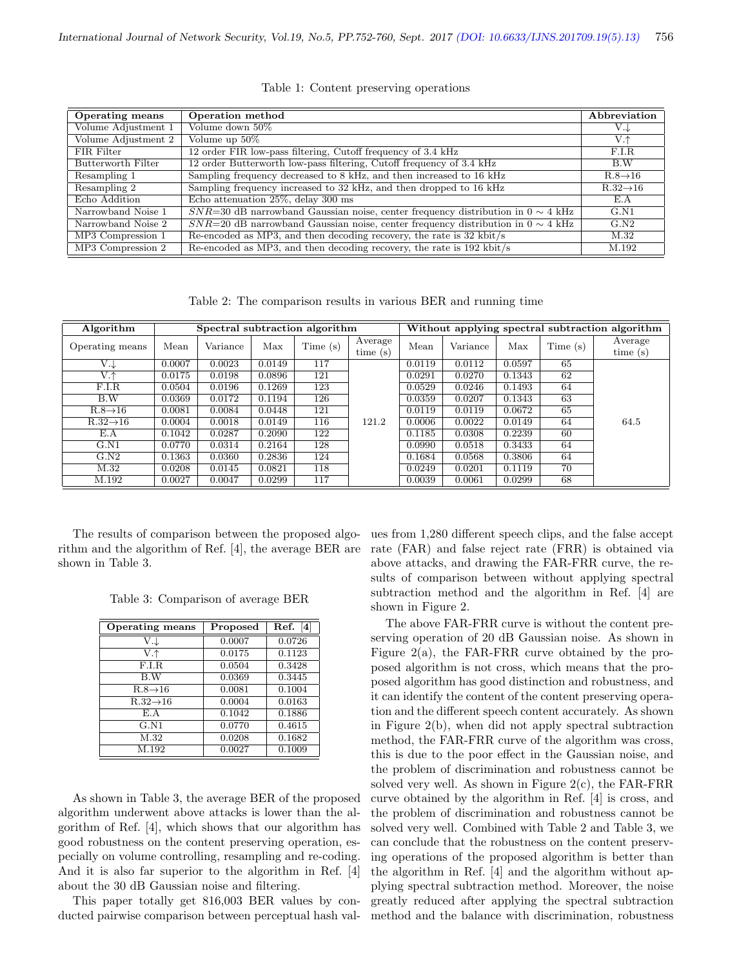| <b>Operating means</b> | Operation method                                                                       | Abbreviation          |
|------------------------|----------------------------------------------------------------------------------------|-----------------------|
| Volume Adjustment 1    | Volume down 50%                                                                        | V.J                   |
| Volume Adjustment 2    | Volume up $50\%$                                                                       | $V.\uparrow$          |
| FIR Filter             | 12 order FIR low-pass filtering, Cutoff frequency of 3.4 kHz                           | F.I.R                 |
| Butterworth Filter     | 12 order Butterworth low-pass filtering, Cutoff frequency of 3.4 kHz                   | B.W                   |
| Resampling 1           | Sampling frequency decreased to 8 kHz, and then increased to 16 kHz                    | $R.8 \rightarrow 16$  |
| Resampling 2           | Sampling frequency increased to 32 kHz, and then dropped to 16 kHz                     | $R.32 \rightarrow 16$ |
| Echo Addition          | Echo attenuation $25\%$ , delay 300 ms                                                 | E.A                   |
| Narrowband Noise 1     | $SNR=30$ dB narrowband Gaussian noise, center frequency distribution in $0 \sim 4$ kHz | G.N1                  |
| Narrowband Noise 2     | $SNR=20$ dB narrowband Gaussian noise, center frequency distribution in $0 \sim 4$ kHz | G.N2                  |
| MP3 Compression 1      | Re-encoded as MP3, and then decoding recovery, the rate is 32 kbit/s                   | M.32                  |
| MP3 Compression 2      | Re-encoded as MP3, and then decoding recovery, the rate is 192 kbit/s                  | M.192                 |

Table 1: Content preserving operations

Table 2: The comparison results in various BER and running time

| Algorithm             | Spectral subtraction algorithm |          |        | Without applying spectral subtraction algorithm |                       |        |          |        |         |                    |
|-----------------------|--------------------------------|----------|--------|-------------------------------------------------|-----------------------|--------|----------|--------|---------|--------------------|
| Operating means       | Mean                           | Variance | Max    | Time(s)                                         | Average<br>time $(s)$ | Mean   | Variance | Max    | Time(s) | Average<br>time(s) |
| $V \downarrow$        | 0.0007                         | 0.0023   | 0.0149 | 117                                             |                       | 0.0119 | 0.0112   | 0.0597 | 65      |                    |
| $V.\uparrow$          | 0.0175                         | 0.0198   | 0.0896 | 121                                             |                       | 0.0291 | 0.0270   | 0.1343 | 62      |                    |
| F.I.R                 | 0.0504                         | 0.0196   | 0.1269 | 123                                             |                       | 0.0529 | 0.0246   | 0.1493 | 64      |                    |
| B.W                   | 0.0369                         | 0.0172   | 0.1194 | 126                                             |                       | 0.0359 | 0.0207   | 0.1343 | 63      |                    |
| $R.8 \rightarrow 16$  | 0.0081                         | 0.0084   | 0.0448 | 121                                             |                       | 0.0119 | 0.0119   | 0.0672 | 65      |                    |
| $R.32 \rightarrow 16$ | 0.0004                         | 0.0018   | 0.0149 | 116                                             | 121.2                 | 0.0006 | 0.0022   | 0.0149 | 64      | 64.5               |
| E.A                   | 0.1042                         | 0.0287   | 0.2090 | 122                                             |                       | 0.1185 | 0.0308   | 0.2239 | 60      |                    |
| G.N1                  | 0.0770                         | 0.0314   | 0.2164 | 128                                             |                       | 0.0990 | 0.0518   | 0.3433 | 64      |                    |
| G.N2                  | 0.1363                         | 0.0360   | 0.2836 | 124                                             |                       | 0.1684 | 0.0568   | 0.3806 | 64      |                    |
| M.32                  | 0.0208                         | 0.0145   | 0.0821 | 118                                             |                       | 0.0249 | 0.0201   | 0.1119 | 70      |                    |
| M.192                 | 0.0027                         | 0.0047   | 0.0299 | 117                                             |                       | 0.0039 | 0.0061   | 0.0299 | 68      |                    |

The results of comparison between the proposed algorithm and the algorithm of Ref. [4], the average BER are shown in Table 3.

Table 3: Comparison of average BER

| Operating means       | Proposed | Ref. $[4]$ |
|-----------------------|----------|------------|
| V.J                   | 0.0007   | 0.0726     |
| V.↑                   | 0.0175   | 0.1123     |
| F.I.R.                | 0.0504   | 0.3428     |
| B.W                   | 0.0369   | 0.3445     |
| $R.8 \rightarrow 16$  | 0.0081   | 0.1004     |
| $R.32 \rightarrow 16$ | 0.0004   | 0.0163     |
| E.A                   | 0.1042   | 0.1886     |
| G.N1                  | 0.0770   | 0.4615     |
| M.32                  | 0.0208   | 0.1682     |
| M.192                 | 0.0027   | 0.1009     |

As shown in Table 3, the average BER of the proposed algorithm underwent above attacks is lower than the algorithm of Ref. [4], which shows that our algorithm has good robustness on the content preserving operation, especially on volume controlling, resampling and re-coding. And it is also far superior to the algorithm in Ref. [4] about the 30 dB Gaussian noise and filtering.

This paper totally get 816,003 BER values by conducted pairwise comparison between perceptual hash val-

ues from 1,280 different speech clips, and the false accept rate (FAR) and false reject rate (FRR) is obtained via above attacks, and drawing the FAR-FRR curve, the results of comparison between without applying spectral subtraction method and the algorithm in Ref. [4] are shown in Figure 2.

The above FAR-FRR curve is without the content preserving operation of 20 dB Gaussian noise. As shown in Figure 2(a), the FAR-FRR curve obtained by the proposed algorithm is not cross, which means that the proposed algorithm has good distinction and robustness, and it can identify the content of the content preserving operation and the different speech content accurately. As shown in Figure 2(b), when did not apply spectral subtraction method, the FAR-FRR curve of the algorithm was cross, this is due to the poor effect in the Gaussian noise, and the problem of discrimination and robustness cannot be solved very well. As shown in Figure  $2(c)$ , the FAR-FRR curve obtained by the algorithm in Ref. [4] is cross, and the problem of discrimination and robustness cannot be solved very well. Combined with Table 2 and Table 3, we can conclude that the robustness on the content preserving operations of the proposed algorithm is better than the algorithm in Ref. [4] and the algorithm without applying spectral subtraction method. Moreover, the noise greatly reduced after applying the spectral subtraction method and the balance with discrimination, robustness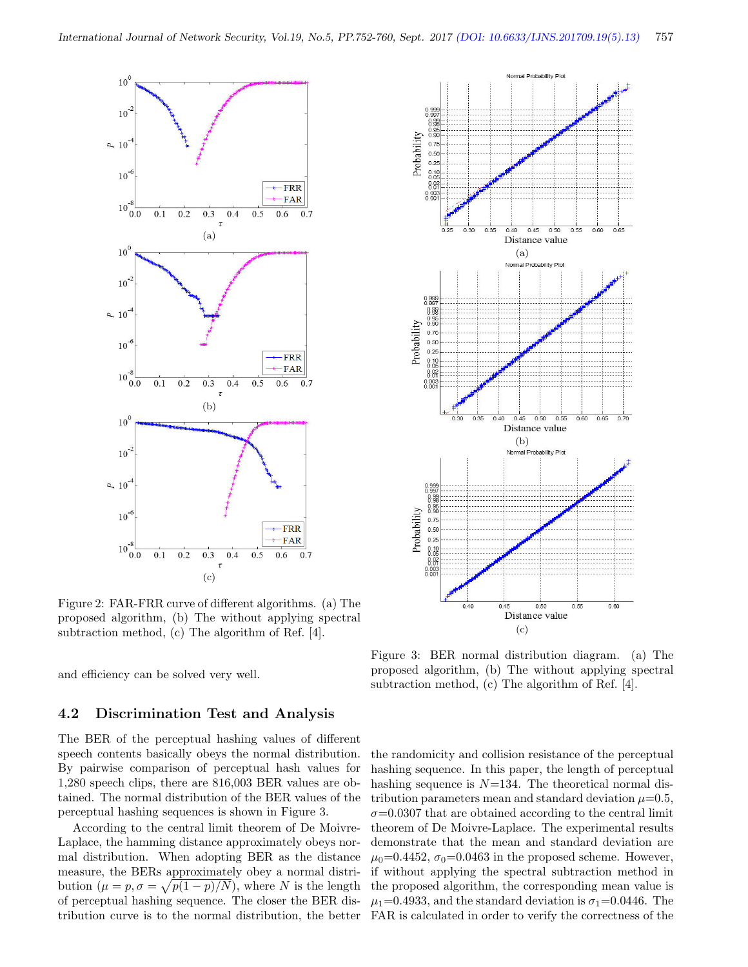

Figure 2: FAR-FRR curve of different algorithms. (a) The proposed algorithm, (b) The without applying spectral subtraction method, (c) The algorithm of Ref. [4].

and efficiency can be solved very well.

#### 4.2 Discrimination Test and Analysis

The BER of the perceptual hashing values of different speech contents basically obeys the normal distribution. By pairwise comparison of perceptual hash values for 1,280 speech clips, there are 816,003 BER values are obtained. The normal distribution of the BER values of the perceptual hashing sequences is shown in Figure 3.

According to the central limit theorem of De Moivre-Laplace, the hamming distance approximately obeys normal distribution. When adopting BER as the distance measure, the BERs approximately obey a normal distribution  $(\mu = p, \sigma = \sqrt{p(1-p)/N})$ , where N is the length of perceptual hashing sequence. The closer the BER distribution curve is to the normal distribution, the better



Figure 3: BER normal distribution diagram. (a) The proposed algorithm, (b) The without applying spectral subtraction method, (c) The algorithm of Ref. [4].

the randomicity and collision resistance of the perceptual hashing sequence. In this paper, the length of perceptual hashing sequence is  $N=134$ . The theoretical normal distribution parameters mean and standard deviation  $\mu=0.5$ ,  $\sigma$ =0.0307 that are obtained according to the central limit theorem of De Moivre-Laplace. The experimental results demonstrate that the mean and standard deviation are  $\mu_0$ =0.4452,  $\sigma_0$ =0.0463 in the proposed scheme. However, if without applying the spectral subtraction method in the proposed algorithm, the corresponding mean value is  $\mu_1$ =0.4933, and the standard deviation is  $\sigma_1$ =0.0446. The FAR is calculated in order to verify the correctness of the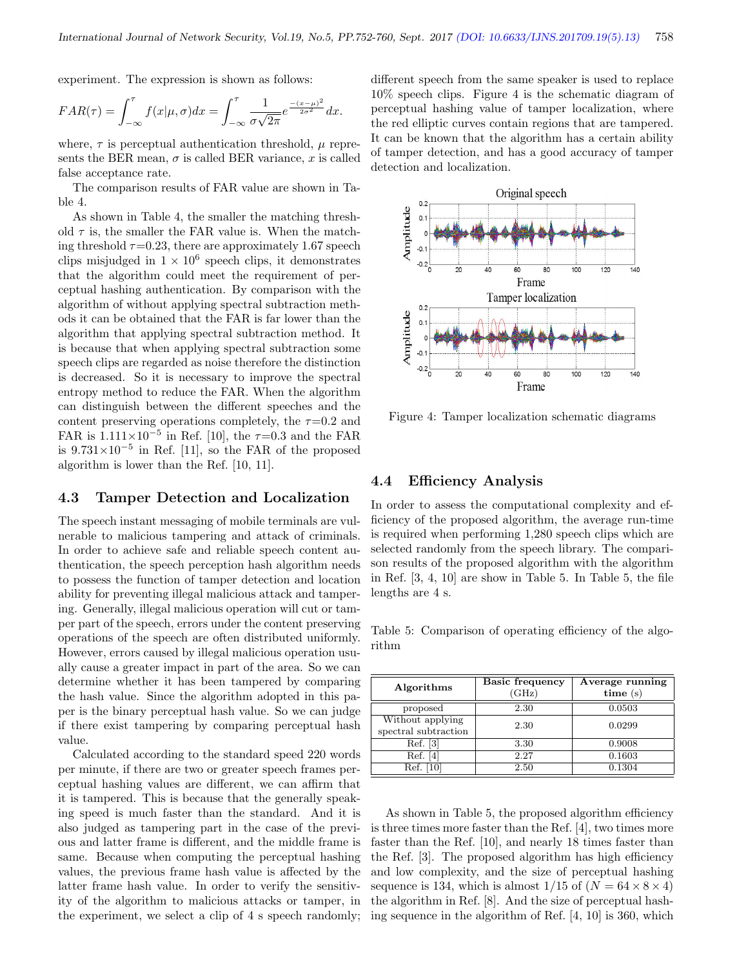experiment. The expression is shown as follows:

$$
FAR(\tau) = \int_{-\infty}^{\tau} f(x|\mu, \sigma) dx = \int_{-\infty}^{\tau} \frac{1}{\sigma \sqrt{2\pi}} e^{\frac{-(x-\mu)^2}{2\sigma^2}} dx.
$$

where,  $\tau$  is perceptual authentication threshold,  $\mu$  represents the BER mean,  $\sigma$  is called BER variance, x is called false acceptance rate.

The comparison results of FAR value are shown in Table 4.

As shown in Table 4, the smaller the matching threshold  $\tau$  is, the smaller the FAR value is. When the matching threshold  $\tau$ =0.23, there are approximately 1.67 speech clips misjudged in  $1 \times 10^6$  speech clips, it demonstrates that the algorithm could meet the requirement of perceptual hashing authentication. By comparison with the algorithm of without applying spectral subtraction methods it can be obtained that the FAR is far lower than the algorithm that applying spectral subtraction method. It is because that when applying spectral subtraction some speech clips are regarded as noise therefore the distinction is decreased. So it is necessary to improve the spectral entropy method to reduce the FAR. When the algorithm can distinguish between the different speeches and the content preserving operations completely, the  $\tau=0.2$  and FAR is  $1.111 \times 10^{-5}$  in Ref. [10], the  $\tau=0.3$  and the FAR is  $9.731 \times 10^{-5}$  in Ref. [11], so the FAR of the proposed algorithm is lower than the Ref. [10, 11].

#### 4.3 Tamper Detection and Localization

The speech instant messaging of mobile terminals are vulnerable to malicious tampering and attack of criminals. In order to achieve safe and reliable speech content authentication, the speech perception hash algorithm needs to possess the function of tamper detection and location ability for preventing illegal malicious attack and tampering. Generally, illegal malicious operation will cut or tamper part of the speech, errors under the content preserving operations of the speech are often distributed uniformly. However, errors caused by illegal malicious operation usually cause a greater impact in part of the area. So we can determine whether it has been tampered by comparing the hash value. Since the algorithm adopted in this paper is the binary perceptual hash value. So we can judge if there exist tampering by comparing perceptual hash value.

Calculated according to the standard speed 220 words per minute, if there are two or greater speech frames perceptual hashing values are different, we can affirm that it is tampered. This is because that the generally speaking speed is much faster than the standard. And it is also judged as tampering part in the case of the previous and latter frame is different, and the middle frame is same. Because when computing the perceptual hashing values, the previous frame hash value is affected by the latter frame hash value. In order to verify the sensitivity of the algorithm to malicious attacks or tamper, in the experiment, we select a clip of 4 s speech randomly; different speech from the same speaker is used to replace 10% speech clips. Figure 4 is the schematic diagram of perceptual hashing value of tamper localization, where the red elliptic curves contain regions that are tampered. It can be known that the algorithm has a certain ability of tamper detection, and has a good accuracy of tamper detection and localization.



Figure 4: Tamper localization schematic diagrams

#### 4.4 Efficiency Analysis

In order to assess the computational complexity and efficiency of the proposed algorithm, the average run-time is required when performing 1,280 speech clips which are selected randomly from the speech library. The comparison results of the proposed algorithm with the algorithm in Ref. [3, 4, 10] are show in Table 5. In Table 5, the file lengths are 4 s.

Table 5: Comparison of operating efficiency of the algorithm

| Algorithms                               | <b>Basic frequency</b><br>(GHz) | Average running<br>time(s) |  |  |
|------------------------------------------|---------------------------------|----------------------------|--|--|
| proposed                                 | 2.30                            | 0.0503                     |  |  |
| Without applying<br>spectral subtraction | 2.30                            | 0.0299                     |  |  |
| Ref. [3]                                 | 3.30                            | 0.9008                     |  |  |
| Ref. [4]                                 | 2.27                            | 0.1603                     |  |  |
| Ref. [10]                                | 2.50                            | 0.1304                     |  |  |

As shown in Table 5, the proposed algorithm efficiency is three times more faster than the Ref. [4], two times more faster than the Ref. [10], and nearly 18 times faster than the Ref. [3]. The proposed algorithm has high efficiency and low complexity, and the size of perceptual hashing sequence is 134, which is almost  $1/15$  of  $(N = 64 \times 8 \times 4)$ the algorithm in Ref. [8]. And the size of perceptual hashing sequence in the algorithm of Ref. [4, 10] is 360, which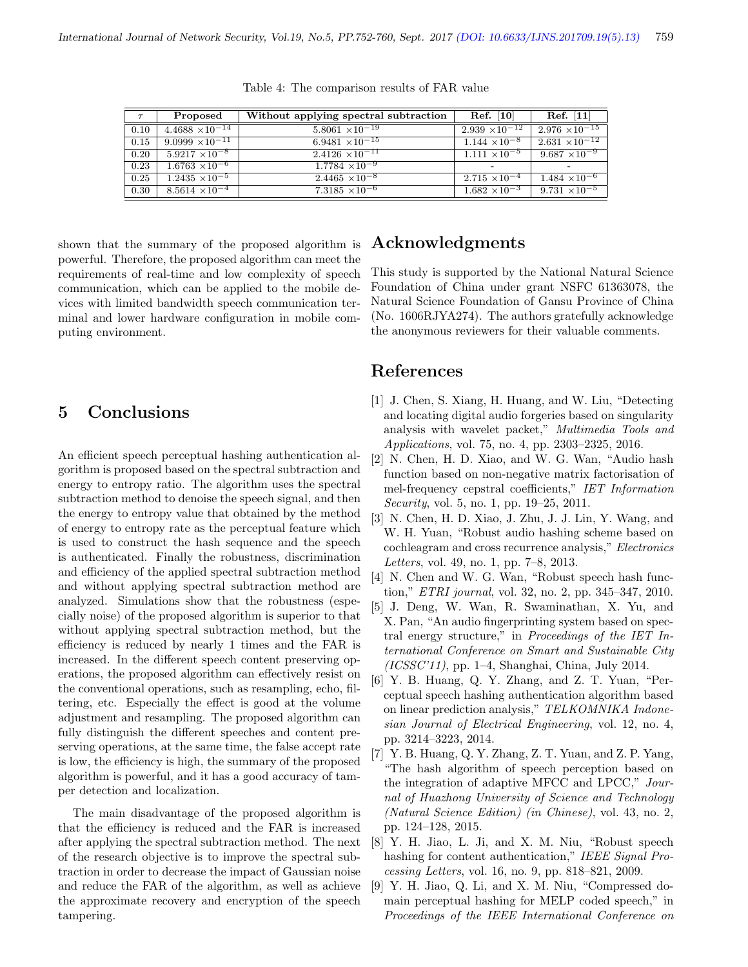| $\tau$ | Proposed                 | Without applying spectral subtraction | $\operatorname{Ref.} \left[10\right]$ | $\operatorname{Ref.}$ [11] |
|--------|--------------------------|---------------------------------------|---------------------------------------|----------------------------|
| 0.10   | $4.4688 \times 10^{-14}$ | $5.8061 \times 10^{-19}$              | $2.939 \times 10^{-12}$               | $2.976 \times 10^{-15}$    |
| 0.15   | 9.0999 $\times10^{-11}$  | 6.9481 $\times \overline{10^{-15}}$   | $1.144 \times 10^{-8}$                | $2.631 \times 10^{-12}$    |
| 0.20   | $5.9217 \times 10^{-8}$  | $2.4126 \times 10^{-11}$              | $1.111 \times 10^{-5}$                | $9.687 \times 10^{-9}$     |
| 0.23   | $1.6763 \times 10^{-6}$  | $1.7784 \times 10^{-9}$               |                                       |                            |
| 0.25   | $1.2435 \times 10^{-5}$  | $2.4465 \times 10^{-8}$               | $2.715 \times 10^{-4}$                | $1.484 \times 10^{-6}$     |
| 0.30   | $8.5614 \times 10^{-4}$  | $7.3185 \times 10^{-6}$               | $1.682 \times 10^{-3}$                | $9.731 \times 10^{-5}$     |

Table 4: The comparison results of FAR value

shown that the summary of the proposed algorithm is powerful. Therefore, the proposed algorithm can meet the requirements of real-time and low complexity of speech communication, which can be applied to the mobile devices with limited bandwidth speech communication terminal and lower hardware configuration in mobile computing environment.

# 5 Conclusions

An efficient speech perceptual hashing authentication algorithm is proposed based on the spectral subtraction and energy to entropy ratio. The algorithm uses the spectral subtraction method to denoise the speech signal, and then the energy to entropy value that obtained by the method of energy to entropy rate as the perceptual feature which is used to construct the hash sequence and the speech is authenticated. Finally the robustness, discrimination and efficiency of the applied spectral subtraction method and without applying spectral subtraction method are analyzed. Simulations show that the robustness (especially noise) of the proposed algorithm is superior to that without applying spectral subtraction method, but the efficiency is reduced by nearly 1 times and the FAR is increased. In the different speech content preserving operations, the proposed algorithm can effectively resist on the conventional operations, such as resampling, echo, filtering, etc. Especially the effect is good at the volume adjustment and resampling. The proposed algorithm can fully distinguish the different speeches and content preserving operations, at the same time, the false accept rate is low, the efficiency is high, the summary of the proposed algorithm is powerful, and it has a good accuracy of tamper detection and localization.

The main disadvantage of the proposed algorithm is that the efficiency is reduced and the FAR is increased after applying the spectral subtraction method. The next of the research objective is to improve the spectral subtraction in order to decrease the impact of Gaussian noise and reduce the FAR of the algorithm, as well as achieve the approximate recovery and encryption of the speech tampering.

### Acknowledgments

This study is supported by the National Natural Science Foundation of China under grant NSFC 61363078, the Natural Science Foundation of Gansu Province of China (No. 1606RJYA274). The authors gratefully acknowledge the anonymous reviewers for their valuable comments.

### References

- [1] J. Chen, S. Xiang, H. Huang, and W. Liu, "Detecting and locating digital audio forgeries based on singularity analysis with wavelet packet," Multimedia Tools and Applications, vol. 75, no. 4, pp. 2303–2325, 2016.
- [2] N. Chen, H. D. Xiao, and W. G. Wan, "Audio hash function based on non-negative matrix factorisation of mel-frequency cepstral coefficients," IET Information Security, vol. 5, no. 1, pp. 19–25, 2011.
- [3] N. Chen, H. D. Xiao, J. Zhu, J. J. Lin, Y. Wang, and W. H. Yuan, "Robust audio hashing scheme based on cochleagram and cross recurrence analysis," Electronics Letters, vol. 49, no. 1, pp. 7–8, 2013.
- [4] N. Chen and W. G. Wan, "Robust speech hash function," ETRI journal, vol. 32, no. 2, pp. 345–347, 2010.
- [5] J. Deng, W. Wan, R. Swaminathan, X. Yu, and X. Pan, "An audio fingerprinting system based on spectral energy structure," in Proceedings of the IET International Conference on Smart and Sustainable City (ICSSC'11), pp. 1–4, Shanghai, China, July 2014.
- [6] Y. B. Huang, Q. Y. Zhang, and Z. T. Yuan, "Perceptual speech hashing authentication algorithm based on linear prediction analysis," TELKOMNIKA Indonesian Journal of Electrical Engineering, vol. 12, no. 4, pp. 3214–3223, 2014.
- [7] Y. B. Huang, Q. Y. Zhang, Z. T. Yuan, and Z. P. Yang, "The hash algorithm of speech perception based on the integration of adaptive MFCC and LPCC," Journal of Huazhong University of Science and Technology (Natural Science Edition) (in Chinese), vol. 43, no. 2, pp. 124–128, 2015.
- [8] Y. H. Jiao, L. Ji, and X. M. Niu, "Robust speech hashing for content authentication," IEEE Signal Processing Letters, vol. 16, no. 9, pp. 818–821, 2009.
- [9] Y. H. Jiao, Q. Li, and X. M. Niu, "Compressed domain perceptual hashing for MELP coded speech," in Proceedings of the IEEE International Conference on